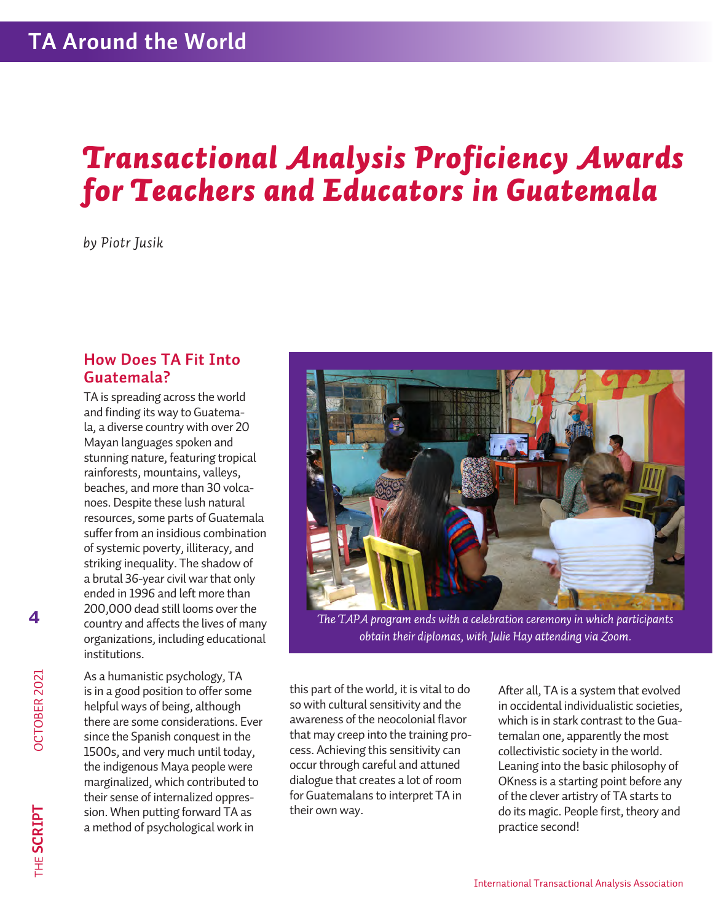# *Transactional Analysis Proficiency Awards for Teachers and Educators in Guatemala*

*by Piotr Jusik*

#### **How Does TA Fit Into Guatemala?**

TA is spreading across the world and finding its way to Guatemala, a diverse country with over 20 Mayan languages spoken and stunning nature, featuring tropical rainforests, mountains, valleys, beaches, and more than 30 volcanoes. Despite these lush natural resources, some parts of Guatemala suffer from an insidious combination of systemic poverty, illiteracy, and striking inequality. The shadow of a brutal 36-year civil warthat only ended in 1996 and left more than 200,000 dead still looms over the country and affects the lives of many organizations, including educational institutions.

As a humanistic psychology, TA is in a good position to offer some helpful ways of being, although there are some considerations. Ever since the Spanish conquest in the 1500s, and very much until today, the indigenous Maya people were marginalized, which contributed to their sense of internalized oppression. When putting forward TA as a method of psychological work in



*The TAPA program ends with a celebration ceremony in which participants obtain their diplomas, with Julie Hay attending via Zoom.*

this part of the world, it is vital to do so with cultural sensitivity and the awareness of the neocolonial flavor that may creep into the training process. Achieving this sensitivity can occur through careful and attuned dialogue that creates a lot of room for Guatemalans to interpret TA in their own way.

After all, TA is a system that evolved in occidental individualistic societies, which is in stark contrast to the Guatemalan one, apparently the most collectivistic society in the world. Leaning into the basic philosophy of OKness is a starting point before any of the clever artistry of TA starts to do its magic. People first, theory and practice second!

**4**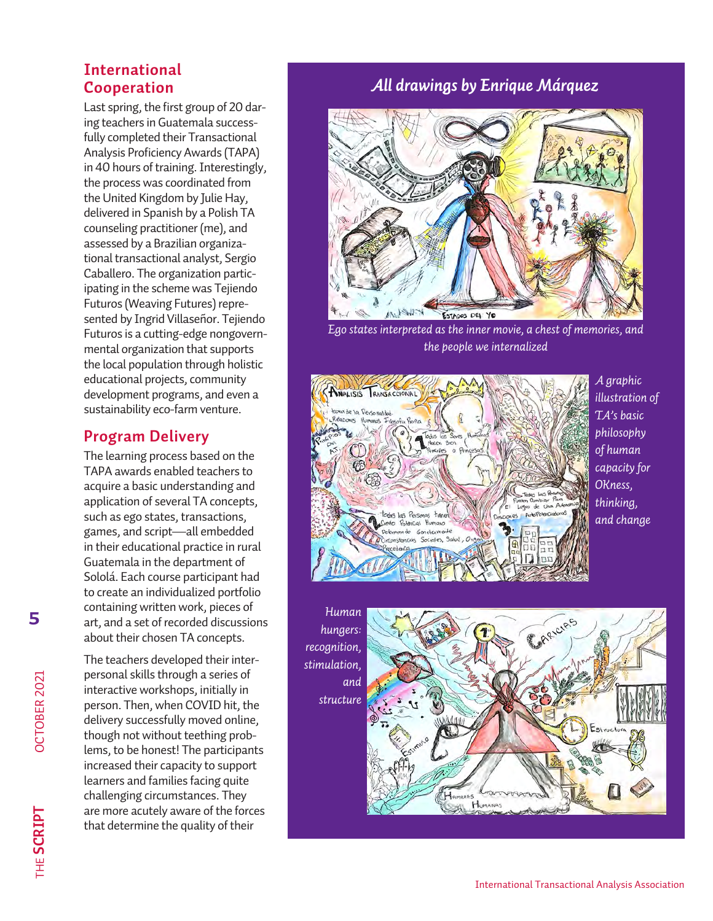#### **International Cooperation**

Last spring, the first group of 20 daring teachers in Guatemala successfully completed their Transactional Analysis Proficiency Awards (TAPA) in 40 hours of training. Interestingly, the process was coordinated from the United Kingdom by Julie Hay, delivered in Spanish by a Polish TA counseling practitioner(me), and assessed by a Brazilian organizational transactional analyst, Sergio Caballero. The organization participating in the scheme was Tejiendo Futuros (Weaving Futures) represented by Ingrid Villaseñor. Tejiendo Futuros is a cutting-edge nongovernmental organization that supports the local population through holistic educational projects, community development programs, and even a sustainability eco-farm venture.

#### **Program Delivery**

The learning process based on the TAPA awards enabled teachers to acquire a basic understanding and application of several TA concepts, such as ego states, transactions, games, and script—all embedded in their educational practice in rural Guatemala in the department of Sololá. Each course participant had to create an individualized portfolio containing written work, pieces of art, and a set of recorded discussions about their chosen TA concepts.

The teachers developed their interpersonal skills through a series of interactive workshops, initially in person. Then, when COVID hit, the delivery successfully moved online, though not without teething problems, to be honest! The participants increased their capacity to support learners and families facing quite challenging circumstances. They are more acutely aware of the forces that determine the quality of their

### *All drawings by Enrique Márquez*



*Ego states interpreted as the inner movie, a chest of memories, and the people we internalized* 



*hungers: recognition, stimulation, and structure* 



OCTOBER 2021